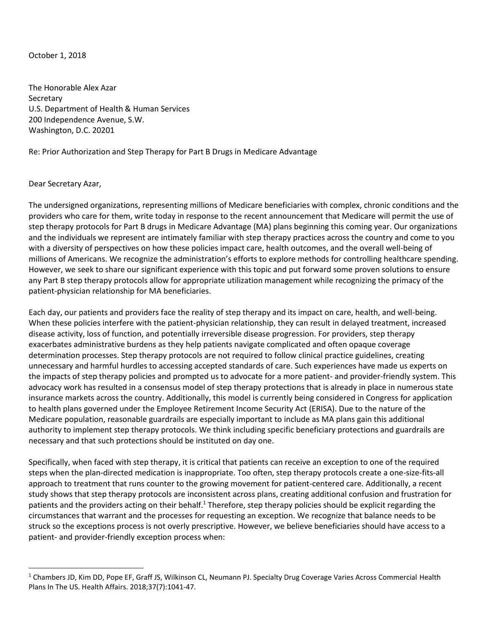## October 1, 2018

The Honorable Alex Azar Secretary U.S. Department of Health & Human Services 200 Independence Avenue, S.W. Washington, D.C. 20201

## Re: Prior Authorization and Step Therapy for Part B Drugs in Medicare Advantage

## Dear Secretary Azar,

 $\overline{\phantom{a}}$ 

The undersigned organizations, representing millions of Medicare beneficiaries with complex, chronic conditions and the providers who care for them, write today in response to the recent announcement that Medicare will permit the use of step therapy protocols for Part B drugs in Medicare Advantage (MA) plans beginning this coming year. Our organizations and the individuals we represent are intimately familiar with step therapy practices across the country and come to you with a diversity of perspectives on how these policies impact care, health outcomes, and the overall well-being of millions of Americans. We recognize the administration's efforts to explore methods for controlling healthcare spending. However, we seek to share our significant experience with this topic and put forward some proven solutions to ensure any Part B step therapy protocols allow for appropriate utilization management while recognizing the primacy of the patient-physician relationship for MA beneficiaries.

Each day, our patients and providers face the reality of step therapy and its impact on care, health, and well-being. When these policies interfere with the patient-physician relationship, they can result in delayed treatment, increased disease activity, loss of function, and potentially irreversible disease progression. For providers, step therapy exacerbates administrative burdens as they help patients navigate complicated and often opaque coverage determination processes. Step therapy protocols are not required to follow clinical practice guidelines, creating unnecessary and harmful hurdles to accessing accepted standards of care. Such experiences have made us experts on the impacts of step therapy policies and prompted us to advocate for a more patient- and provider-friendly system. This advocacy work has resulted in a consensus model of step therapy protections that is already in place in numerous state insurance markets across the country. Additionally, this model is currently being considered in Congress for application to health plans governed under the Employee Retirement Income Security Act (ERISA). Due to the nature of the Medicare population, reasonable guardrails are especially important to include as MA plans gain this additional authority to implement step therapy protocols. We think including specific beneficiary protections and guardrails are necessary and that such protections should be instituted on day one.

Specifically, when faced with step therapy, it is critical that patients can receive an exception to one of the required steps when the plan-directed medication is inappropriate. Too often, step therapy protocols create a one-size-fits-all approach to treatment that runs counter to the growing movement for patient-centered care. Additionally, a recent study shows that step therapy protocols are inconsistent across plans, creating additional confusion and frustration for patients and the providers acting on their behalf.<sup>1</sup> Therefore, step therapy policies should be explicit regarding the circumstances that warrant and the processes for requesting an exception. We recognize that balance needs to be struck so the exceptions process is not overly prescriptive. However, we believe beneficiaries should have access to a patient- and provider-friendly exception process when:

<sup>&</sup>lt;sup>1</sup> Chambers JD, Kim DD, Pope EF, Graff JS, Wilkinson CL, Neumann PJ. Specialty Drug Coverage Varies Across Commercial Health Plans In The US. Health Affairs. 2018;37(7):1041-47.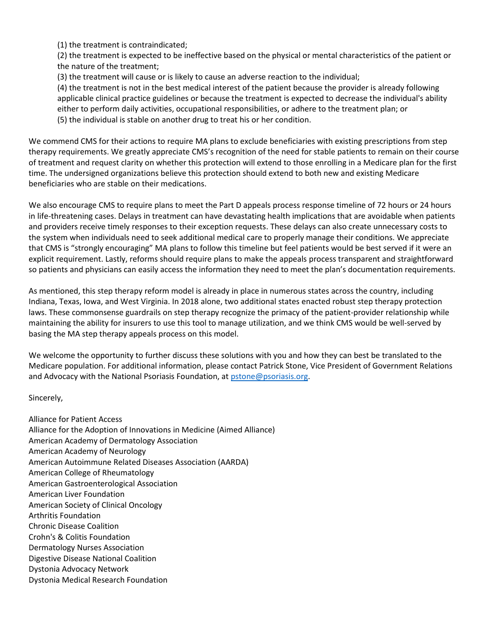(1) the treatment is contraindicated;

(2) the treatment is expected to be ineffective based on the physical or mental characteristics of the patient or the nature of the treatment;

(3) the treatment will cause or is likely to cause an adverse reaction to the individual;

(4) the treatment is not in the best medical interest of the patient because the provider is already following applicable clinical practice guidelines or because the treatment is expected to decrease the individual's ability either to perform daily activities, occupational responsibilities, or adhere to the treatment plan; or (5) the individual is stable on another drug to treat his or her condition.

We commend CMS for their actions to require MA plans to exclude beneficiaries with existing prescriptions from step therapy requirements. We greatly appreciate CMS's recognition of the need for stable patients to remain on their course of treatment and request clarity on whether this protection will extend to those enrolling in a Medicare plan for the first time. The undersigned organizations believe this protection should extend to both new and existing Medicare beneficiaries who are stable on their medications.

We also encourage CMS to require plans to meet the Part D appeals process response timeline of 72 hours or 24 hours in life-threatening cases. Delays in treatment can have devastating health implications that are avoidable when patients and providers receive timely responses to their exception requests. These delays can also create unnecessary costs to the system when individuals need to seek additional medical care to properly manage their conditions. We appreciate that CMS is "strongly encouraging" MA plans to follow this timeline but feel patients would be best served if it were an explicit requirement. Lastly, reforms should require plans to make the appeals process transparent and straightforward so patients and physicians can easily access the information they need to meet the plan's documentation requirements.

As mentioned, this step therapy reform model is already in place in numerous states across the country, including Indiana, Texas, Iowa, and West Virginia. In 2018 alone, two additional states enacted robust step therapy protection laws. These commonsense guardrails on step therapy recognize the primacy of the patient-provider relationship while maintaining the ability for insurers to use this tool to manage utilization, and we think CMS would be well-served by basing the MA step therapy appeals process on this model.

We welcome the opportunity to further discuss these solutions with you and how they can best be translated to the Medicare population. For additional information, please contact Patrick Stone, Vice President of Government Relations and Advocacy with the National Psoriasis Foundation, a[t pstone@psoriasis.org.](mailto:pstone@psoriasis.org)

Sincerely,

Alliance for Patient Access Alliance for the Adoption of Innovations in Medicine (Aimed Alliance) American Academy of Dermatology Association American Academy of Neurology American Autoimmune Related Diseases Association (AARDA) American College of Rheumatology American Gastroenterological Association American Liver Foundation American Society of Clinical Oncology Arthritis Foundation Chronic Disease Coalition Crohn's & Colitis Foundation Dermatology Nurses Association Digestive Disease National Coalition Dystonia Advocacy Network Dystonia Medical Research Foundation